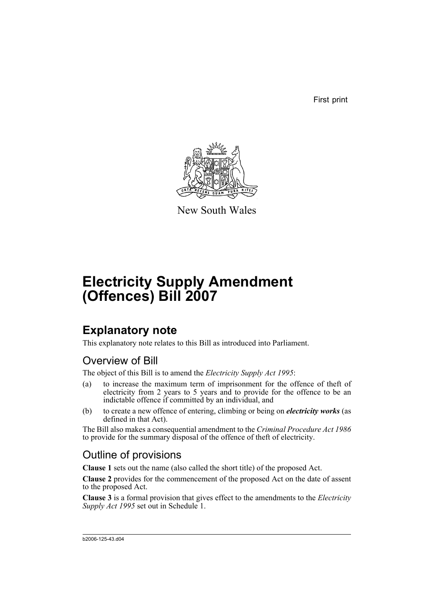First print



New South Wales

# **Electricity Supply Amendment (Offences) Bill 2007**

## **Explanatory note**

This explanatory note relates to this Bill as introduced into Parliament.

### Overview of Bill

The object of this Bill is to amend the *Electricity Supply Act 1995*:

- (a) to increase the maximum term of imprisonment for the offence of theft of electricity from 2 years to 5 years and to provide for the offence to be an indictable offence if committed by an individual, and
- (b) to create a new offence of entering, climbing or being on *electricity works* (as defined in that Act).

The Bill also makes a consequential amendment to the *Criminal Procedure Act 1986* to provide for the summary disposal of the offence of theft of electricity.

### Outline of provisions

**Clause 1** sets out the name (also called the short title) of the proposed Act.

**Clause 2** provides for the commencement of the proposed Act on the date of assent to the proposed Act.

**Clause 3** is a formal provision that gives effect to the amendments to the *Electricity Supply Act 1995* set out in Schedule 1.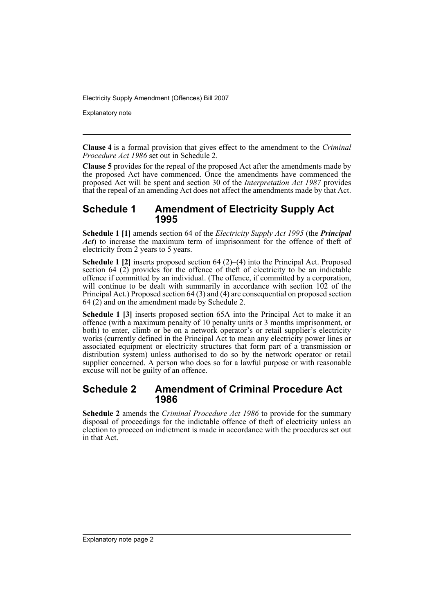Electricity Supply Amendment (Offences) Bill 2007

Explanatory note

**Clause 4** is a formal provision that gives effect to the amendment to the *Criminal Procedure Act 1986* set out in Schedule 2.

**Clause 5** provides for the repeal of the proposed Act after the amendments made by the proposed Act have commenced. Once the amendments have commenced the proposed Act will be spent and section 30 of the *Interpretation Act 1987* provides that the repeal of an amending Act does not affect the amendments made by that Act.

#### **Schedule 1 Amendment of Electricity Supply Act 1995**

**Schedule 1 [1]** amends section 64 of the *Electricity Supply Act 1995* (the *Principal Act*) to increase the maximum term of imprisonment for the offence of theft of electricity from 2 years to 5 years.

**Schedule 1 [2]** inserts proposed section 64 (2)–(4) into the Principal Act. Proposed section  $64$  (2) provides for the offence of theft of electricity to be an indictable offence if committed by an individual. (The offence, if committed by a corporation, will continue to be dealt with summarily in accordance with section 102 of the Principal Act.) Proposed section 64 (3) and (4) are consequential on proposed section  $64$  (2) and on the amendment made by Schedule 2.

**Schedule 1 [3]** inserts proposed section 65A into the Principal Act to make it an offence (with a maximum penalty of 10 penalty units or 3 months imprisonment, or both) to enter, climb or be on a network operator's or retail supplier's electricity works (currently defined in the Principal Act to mean any electricity power lines or associated equipment or electricity structures that form part of a transmission or distribution system) unless authorised to do so by the network operator or retail supplier concerned. A person who does so for a lawful purpose or with reasonable excuse will not be guilty of an offence.

#### **Schedule 2 Amendment of Criminal Procedure Act 1986**

**Schedule 2** amends the *Criminal Procedure Act 1986* to provide for the summary disposal of proceedings for the indictable offence of theft of electricity unless an election to proceed on indictment is made in accordance with the procedures set out in that Act.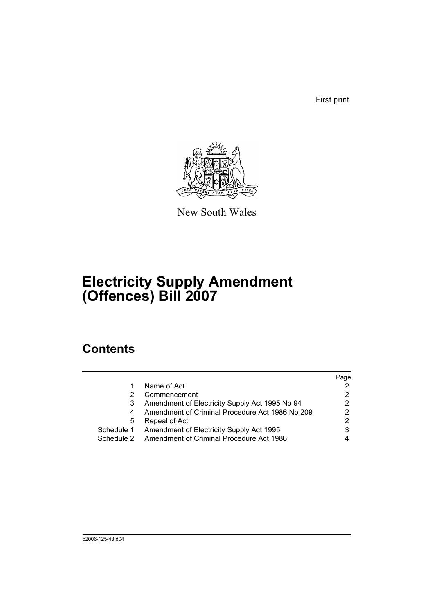First print



New South Wales

# **Electricity Supply Amendment (Offences) Bill 2007**

## **Contents**

|            |                                                 | Page |
|------------|-------------------------------------------------|------|
|            | Name of Act                                     |      |
|            | Commencement                                    |      |
|            | Amendment of Electricity Supply Act 1995 No 94  | 2    |
|            | Amendment of Criminal Procedure Act 1986 No 209 |      |
| 5          | Repeal of Act                                   | 2    |
| Schedule 1 | Amendment of Electricity Supply Act 1995        |      |
| Schedule 2 | Amendment of Criminal Procedure Act 1986        |      |
|            |                                                 |      |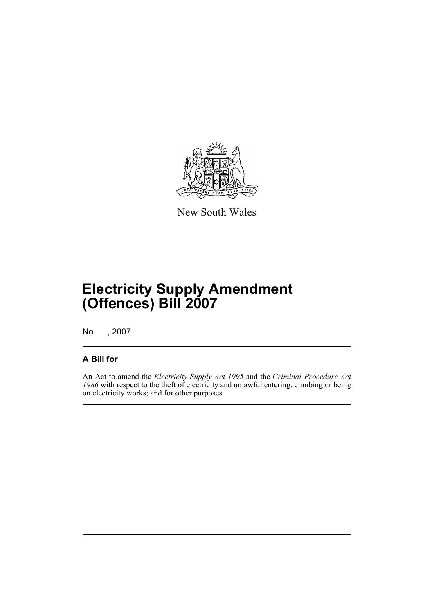

New South Wales

# **Electricity Supply Amendment (Offences) Bill 2007**

No , 2007

#### **A Bill for**

An Act to amend the *Electricity Supply Act 1995* and the *Criminal Procedure Act 1986* with respect to the theft of electricity and unlawful entering, climbing or being on electricity works; and for other purposes.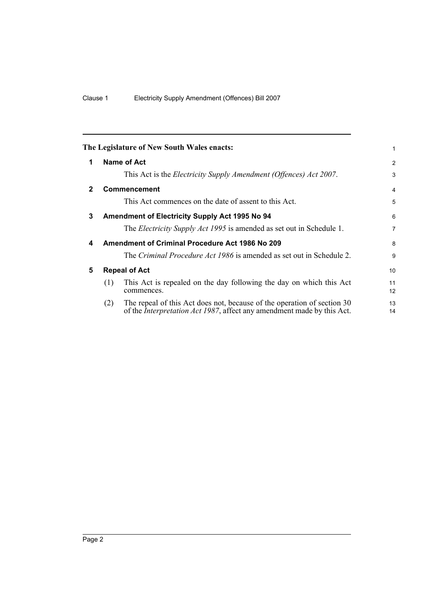<span id="page-5-4"></span><span id="page-5-3"></span><span id="page-5-2"></span><span id="page-5-1"></span><span id="page-5-0"></span>

|              |                      | The Legislature of New South Wales enacts:                                                                                                                | 1               |
|--------------|----------------------|-----------------------------------------------------------------------------------------------------------------------------------------------------------|-----------------|
| 1            |                      | Name of Act                                                                                                                                               | 2               |
|              |                      | This Act is the <i>Electricity Supply Amendment (Offences) Act 2007</i> .                                                                                 | 3               |
| $\mathbf{2}$ |                      | <b>Commencement</b>                                                                                                                                       | $\overline{4}$  |
|              |                      | This Act commences on the date of assent to this Act.                                                                                                     | 5               |
| 3            |                      | Amendment of Electricity Supply Act 1995 No 94                                                                                                            | 6               |
|              |                      | The <i>Electricity Supply Act 1995</i> is amended as set out in Schedule 1.                                                                               | 7               |
| 4            |                      | <b>Amendment of Criminal Procedure Act 1986 No 209</b>                                                                                                    | 8               |
|              |                      | The <i>Criminal Procedure Act 1986</i> is amended as set out in Schedule 2.                                                                               | 9               |
| 5            | <b>Repeal of Act</b> |                                                                                                                                                           | 10 <sup>1</sup> |
|              | (1)                  | This Act is repealed on the day following the day on which this Act<br>commences.                                                                         | 11<br>12        |
|              | (2)                  | The repeal of this Act does not, because of the operation of section 30<br>of the <i>Interpretation Act 1987</i> , affect any amendment made by this Act. | 13<br>14        |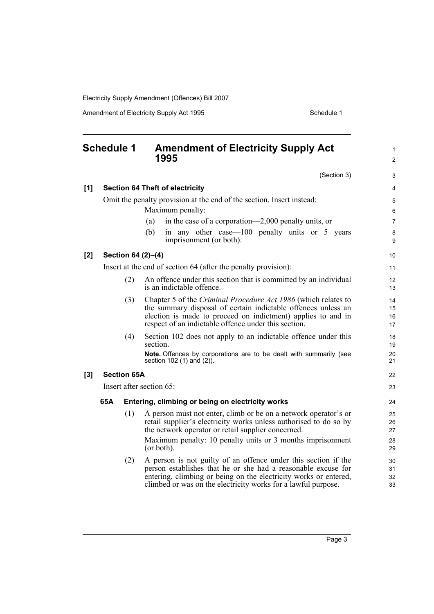Electricity Supply Amendment (Offences) Bill 2007

Amendment of Electricity Supply Act 1995 Schedule 1

<span id="page-6-0"></span>

| <b>Schedule 1</b> |                          |     | <b>Amendment of Electricity Supply Act</b><br>1995                                                                                                                                                                                                      |                      |
|-------------------|--------------------------|-----|---------------------------------------------------------------------------------------------------------------------------------------------------------------------------------------------------------------------------------------------------------|----------------------|
|                   |                          |     | (Section 3)                                                                                                                                                                                                                                             | 3                    |
| [1]               |                          |     | <b>Section 64 Theft of electricity</b>                                                                                                                                                                                                                  | $\overline{4}$       |
|                   |                          |     | Omit the penalty provision at the end of the section. Insert instead:                                                                                                                                                                                   | 5                    |
|                   |                          |     | Maximum penalty:<br>in the case of a corporation—2,000 penalty units, or<br>(a)                                                                                                                                                                         | 6<br>$\overline{7}$  |
|                   |                          |     | in any other case—100 penalty units or 5 years<br>(b)<br>imprisonment (or both).                                                                                                                                                                        | 8<br>9               |
| $[2]$             | Section 64 (2)-(4)       |     |                                                                                                                                                                                                                                                         |                      |
|                   |                          |     | Insert at the end of section 64 (after the penalty provision):                                                                                                                                                                                          | 11                   |
|                   |                          | (2) | An offence under this section that is committed by an individual<br>is an indictable offence.                                                                                                                                                           | 12<br>13             |
|                   |                          | (3) | Chapter 5 of the Criminal Procedure Act 1986 (which relates to<br>the summary disposal of certain indictable offences unless an<br>election is made to proceed on indictment) applies to and in<br>respect of an indictable offence under this section. | 14<br>15<br>16<br>17 |
|                   |                          | (4) | Section 102 does not apply to an indictable offence under this<br>section.                                                                                                                                                                              | 18<br>19             |
|                   |                          |     | <b>Note.</b> Offences by corporations are to be dealt with summarily (see<br>section 102 (1) and (2)).                                                                                                                                                  | 20<br>21             |
| $[3]$             | <b>Section 65A</b>       |     |                                                                                                                                                                                                                                                         | 22                   |
|                   | Insert after section 65: |     |                                                                                                                                                                                                                                                         |                      |
|                   | 65A                      |     | Entering, climbing or being on electricity works                                                                                                                                                                                                        | 24                   |
|                   |                          | (1) | A person must not enter, climb or be on a network operator's or<br>retail supplier's electricity works unless authorised to do so by<br>the network operator or retail supplier concerned.                                                              | 25<br>26<br>27       |
|                   |                          |     | Maximum penalty: 10 penalty units or 3 months imprisonment<br>(or both).                                                                                                                                                                                | 28<br>29             |
|                   |                          | (2) | A person is not guilty of an offence under this section if the<br>person establishes that he or she had a reasonable excuse for                                                                                                                         | 30<br>31             |

entering, climbing or being on the electricity works or entered, climbed or was on the electricity works for a lawful purpose.

Page 3

32 33